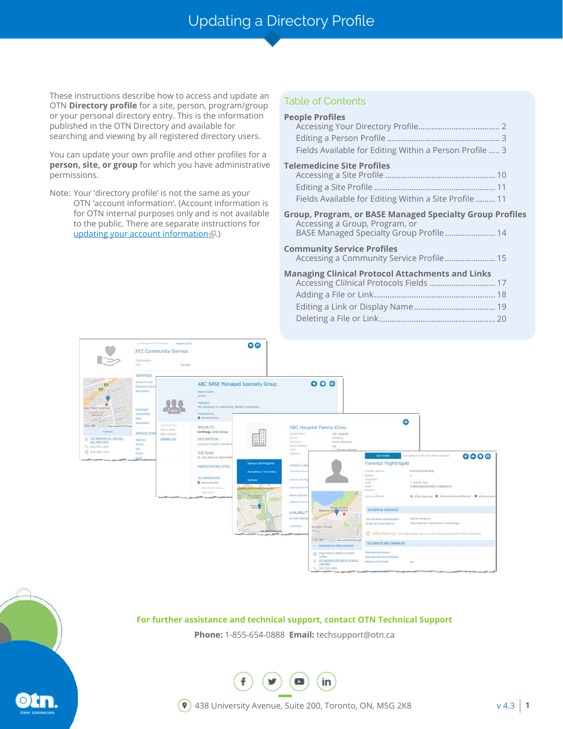# Updating a Directory Profile

These instructions describe how to access and update an OTN **Directory profile** for a site, person, program/group or your personal directory entry. This is the information published in the OTN Directory and available for searching and viewing by all registered directory users.

You can update your own profile and other profiles for a **person, site, or group** for which you have administrative permissions.

Note: Your 'directory profile' is not the same as your OTN 'account information'. (Account information is for OTN internal purposes only and is not available to the public. There are separate instructions for [updating your account information](http://dropbox.otn.ca/selfserve-help/otn-selfserv-account.pdf) .)

# Table of Contents

| <b>People Profiles</b><br>Fields Available for Editing Within a Person Profile  3                                                            |
|----------------------------------------------------------------------------------------------------------------------------------------------|
| <b>Telemedicine Site Profiles</b><br>Fields Available for Editing Within a Site Profile  11                                                  |
| <b>Group, Program, or BASE Managed Specialty Group Profiles</b><br>Accessing a Group, Program, or<br>BASE Managed Specialty Group Profile 14 |
| <b>Community Service Profiles</b><br>Accessing a Community Service Profile 15                                                                |
| <b>Managing Clinical Protocol Attachments and Links</b><br>Accessing Clilnical Protocols Fields  17                                          |
|                                                                                                                                              |

Deleting a File or Link[.....................................................](#page-19-0) 20



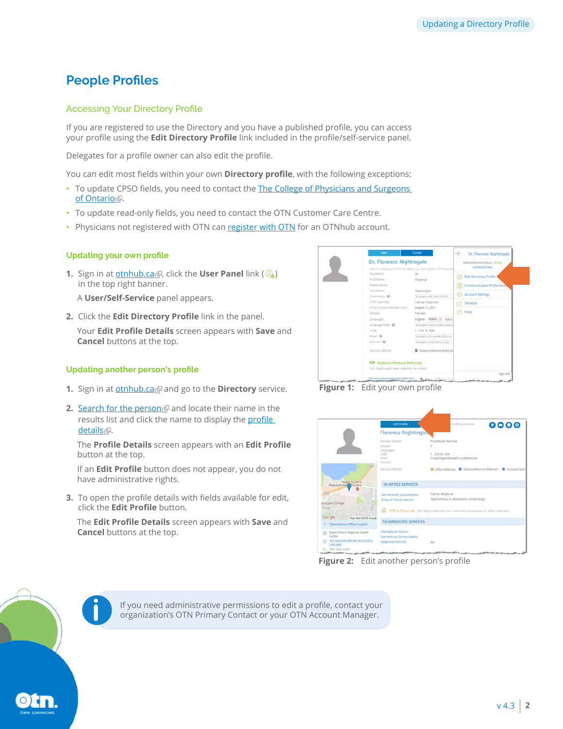# <span id="page-1-0"></span>**People Profiles**

### Accessing Your Directory Profile

If you are registered to use the Directory and you have a published profile, you can access your profile using the **Edit Directory Profile** link included in the profile/self-service panel.

Delegates for a profile owner can also edit the profile.

You can edit most fields within your own **Directory profile**, with the following exceptions:

- To update CPSO fields, you need to contact the The College of Physicians and Surgeons [of Ontario](http://www.cpso.on.ca/)
- To update read-only fields, you need to contact the OTN Customer Care Centre.
- Physicians not registered with OTN can [register with OTN](http://otnhub.ca) for an OTNhub account.

#### **Updating your own profile**

**1.** Sign in at **[otnhub.ca](http://otnhub.ca)**, click the **User Panel** link (  $\mathbb{Q}_0$  ) in the top right banner.

A **User/Self-Service** panel appears.

**2.** Click the **Edit Directory Profile** link in the panel.

Your **Edit Profile Details** screen appears with **Save** and **Cancel** buttons at the top.

#### **Updating another person's profile**

- **1.** Sign in at **[otnhub.ca](http://otnhub.ca)** and go to the **Directory** service.
- **2.** [Search for the person](http://dropbox.otn.ca/directory-help/otn-dir-search.pdf) and locate their name in the results list and click the name to display the profile [details](http://dropbox.otn.ca/directory-help/otn-dir-profile-details.pdf)<sup>-</sup>

The **Profile Details** screen appears with an **Edit Profile** button at the top.

If an **Edit Profile** button does not appear, you do not have administrative rights.

**3.** To open the profile details with fields available for edit, click the **Edit Profile** button.

The **Edit Profile Details** screen appears with **Save** and **Cancel** buttons at the top.





|                                                                     | <b>Edit Profile</b>                                          | 12 AM for two chester                                                                 | 0000 |
|---------------------------------------------------------------------|--------------------------------------------------------------|---------------------------------------------------------------------------------------|------|
|                                                                     | <b>Florence Nightingals</b>                                  |                                                                                       |      |
|                                                                     | Provider Services<br>Gender:                                 | Practitioner Nursing                                                                  |      |
|                                                                     | Languages:<br>LHIN:<br><b>Email:</b><br>Website:             | 1 - Erie St. Clair<br>fnightingale@health.orgMedicine                                 |      |
| $\left  400 \right\rangle$                                          | Services offered:                                            | D Office Referrals <b>&amp;</b> Videoconference Referrals <b>&amp;</b> eConsult Advis |      |
| Royal Victoria<br>Regional Health Centre                            | <b>IN-OFFICE SERVICES</b>                                    |                                                                                       |      |
| Ein 1<br>Jeorgian College                                           | Self-declared Subspecialties:<br>Areas of Clinical Interest: | Family Medicine<br>Specializing in adolescent morphology                              |      |
| <b>Mag Ad</b><br>Google<br>Map data @2018 Goode                     | ⋒                                                            | Office Referrals (Ms Nightingale has not confirmed acceptance of office referrals).   |      |
| <b>Telemedicine Office Contact</b>                                  | <b>TELEMEDICINE SERVICES</b>                                 |                                                                                       |      |
| Royal Victoria Regional Health<br>(d)<br>Certer                     | Telemedicine Service:<br>Telemedicine Service Details:       |                                                                                       |      |
| 201 Georgian DR, Barrie, Ontario,<br><b>L4M 6M2</b><br>705-555-1234 | Indigenous Services:                                         | on.<br>No.                                                                            |      |

**Figure 2:** Edit another person's profile

If you need administrative permissions to edit a profile, contact your **i** organization's OTN Primary Contact or your OTN Account Manager.

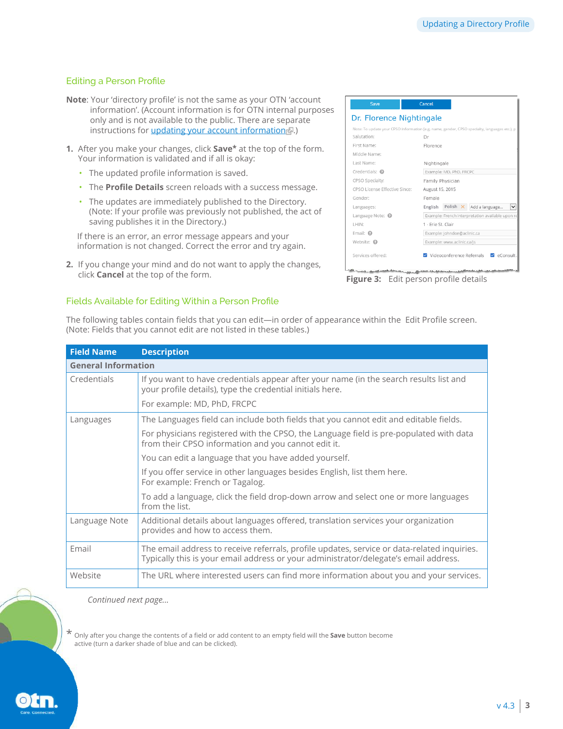# <span id="page-2-0"></span>Editing a Person Profile

- **Note**: Your 'directory profile' is not the same as your OTN 'account information'. (Account information is for OTN internal purposes only and is not available to the public. There are separate instructions for *updating your account informatione.*)
- **1.** After you make your changes, click **Save\*** at the top of the form. Your information is validated and if all is okay:
	- The updated profile information is saved.
	- The **Profile Details** screen reloads with a success message.
	- The updates are immediately published to the Directory. (Note: If your profile was previously not published, the act of saving publishes it in the Directory.)

If there is an error, an error message appears and your information is not changed. Correct the error and try again.

**2.** If you change your mind and do not want to apply the changes, click **Cancel** at the top of the form. **Figure 3:** Edit person profile details

(Note: Fields that you cannot edit are not listed in these tables.)

#### Dr. Florence Nightingale Note: To update your CPSO informati on (e.g. Salutation: Dr First Name: Elorence Middle Name: Last Name: Nightingale Credentials: @ Example: MD, PhD, FRCPC CPSO Specialty: Family Physician CPSO License Effective Since: August 15, 2015 Gender: Female Languages: English Polish X Add a language... V Language Note: @ Example: French interpretation available upon re LHIN: 1 - Erie St. Clair Email:  $\bullet$ Example: johndoe@aclinic.ca Website: @ Example: www.aclinic.ca/js V Videoconference Referrals V eConsult Services offered:

# Fields Available for Editing Within a Person Profile

| <b>Field Name</b>          | <b>Description</b>                                                                                                                                                                  |
|----------------------------|-------------------------------------------------------------------------------------------------------------------------------------------------------------------------------------|
| <b>General Information</b> |                                                                                                                                                                                     |
| Credentials                | If you want to have credentials appear after your name (in the search results list and<br>your profile details), type the credential initials here.                                 |
|                            | For example: MD, PhD, FRCPC                                                                                                                                                         |
| Languages                  | The Languages field can include both fields that you cannot edit and editable fields.                                                                                               |
|                            | For physicians registered with the CPSO, the Language field is pre-populated with data<br>from their CPSO information and you cannot edit it.                                       |
|                            | You can edit a language that you have added yourself.                                                                                                                               |
|                            | If you offer service in other languages besides English, list them here.<br>For example: French or Tagalog.                                                                         |
|                            | To add a language, click the field drop-down arrow and select one or more languages<br>from the list.                                                                               |
| Language Note              | Additional details about languages offered, translation services your organization<br>provides and how to access them.                                                              |
| Email                      | The email address to receive referrals, profile updates, service or data-related inquiries.<br>Typically this is your email address or your administrator/delegate's email address. |
| Website                    | The URL where interested users can find more information about you and your services.                                                                                               |

The following tables contain fields that you can edit—in order of appearance within the Edit Profile screen.

 *Continued next page...*

\* Only after you change the contents of a field or add content to an empty field will the **Save** button become active (turn a darker shade of blue and can be clicked).

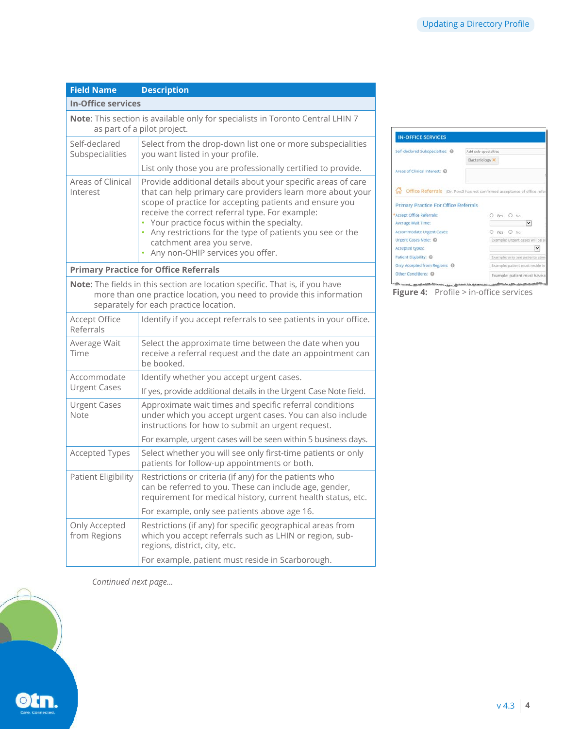| <b>Field Name</b>                | <b>Description</b>                                                                                                                                                                                                                                                                                                                                                                                                     |
|----------------------------------|------------------------------------------------------------------------------------------------------------------------------------------------------------------------------------------------------------------------------------------------------------------------------------------------------------------------------------------------------------------------------------------------------------------------|
| <b>In-Office services</b>        |                                                                                                                                                                                                                                                                                                                                                                                                                        |
|                                  | Note: This section is available only for specialists in Toronto Central LHIN 7<br>as part of a pilot project.                                                                                                                                                                                                                                                                                                          |
| Self-declared<br>Subspecialities | Select from the drop-down list one or more subspecialities<br>you want listed in your profile.                                                                                                                                                                                                                                                                                                                         |
|                                  | List only those you are professionally certified to provide.                                                                                                                                                                                                                                                                                                                                                           |
| Areas of Clinical<br>Interest    | Provide additional details about your specific areas of care<br>that can help primary care providers learn more about your<br>scope of practice for accepting patients and ensure you<br>receive the correct referral type. For example:<br>• Your practice focus within the specialty.<br>• Any restrictions for the type of patients you see or the<br>catchment area you serve.<br>Any non-OHIP services you offer. |
|                                  | <b>Primary Practice for Office Referrals</b>                                                                                                                                                                                                                                                                                                                                                                           |
|                                  | Note: The fields in this section are location specific. That is, if you have<br>more than one practice location, you need to provide this information<br>separately for each practice location.                                                                                                                                                                                                                        |
| Accept Office<br>Referrals       | Identify if you accept referrals to see patients in your office.                                                                                                                                                                                                                                                                                                                                                       |
| Average Wait<br>Time             | Select the approximate time between the date when you<br>receive a referral request and the date an appointment can<br>be booked.                                                                                                                                                                                                                                                                                      |
| Accommodate                      | Identify whether you accept urgent cases.                                                                                                                                                                                                                                                                                                                                                                              |
| <b>Urgent Cases</b>              | If yes, provide additional details in the Urgent Case Note field.                                                                                                                                                                                                                                                                                                                                                      |
| <b>Urgent Cases</b><br>Note      | Approximate wait times and specific referral conditions<br>under which you accept urgent cases. You can also include<br>instructions for how to submit an urgent request.                                                                                                                                                                                                                                              |
|                                  | For example, urgent cases will be seen within 5 business days.                                                                                                                                                                                                                                                                                                                                                         |
| <b>Accepted Types</b>            | Select whether you will see only first-time patients or only<br>patients for follow-up appointments or both.                                                                                                                                                                                                                                                                                                           |
| Patient Eligibility              | Restrictions or criteria (if any) for the patients who<br>can be referred to you. These can include age, gender,<br>requirement for medical history, current health status, etc.                                                                                                                                                                                                                                       |
|                                  | For example, only see patients above age 16.                                                                                                                                                                                                                                                                                                                                                                           |
| Only Accepted<br>from Regions    | Restrictions (if any) for specific geographical areas from<br>which you accept referrals such as LHIN or region, sub-<br>regions, district, city, etc.                                                                                                                                                                                                                                                                 |
|                                  | For example, patient must reside in Scarborough.                                                                                                                                                                                                                                                                                                                                                                       |

IN-OFFICE SERVICES Self-declared Subspecialties: @ Add sub-specialties Bacteriology  $\times$ Areas of Clinical Interest: © Office Referrals (Dr. Povc3 has not confirmed acceptance of office refe Primary Practice For Office Referrals \*Accept Office Referrals:  $\begin{array}{c|cc}\n\text{O} & \text{Yes} & \text{O} & \text{No} \\
\hline\n\end{array}$ Average Walt Time: Average Walt Time:<br>
Accommodate Urgent Cases:<br>
Urgent Cases Note: 0<br>
Urgent Cases Note: 0<br>
Example: Urgent Cases Wil be 3 Accepted types: Patient Eligibility: ①<br>Only Accepted from Regions: **③** Example: only see patients abo Example: patient must reside in Other Conditions: @ Example: patient must have a

**Figure 4:** Profile > in-office services

confirmación de la constantina

**The construction of the construction of the construction of the construction of the construction**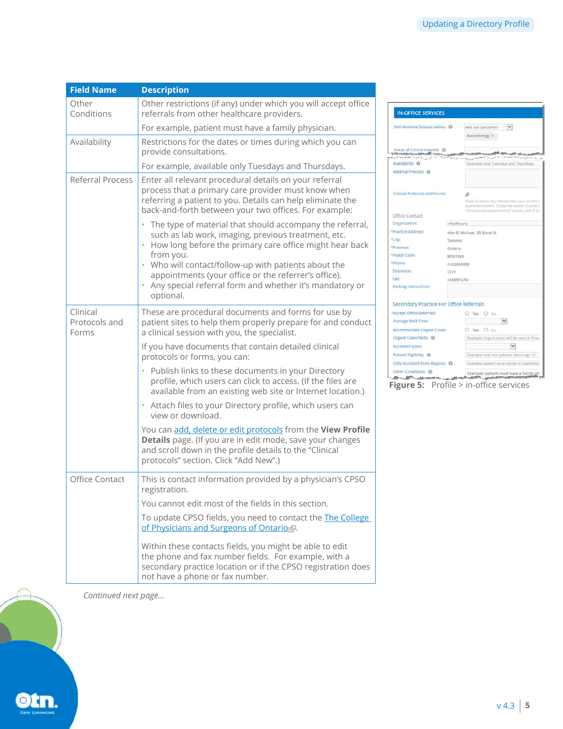| <b>Field Name</b>                  | <b>Description</b>                                                                                                                                                                                                                                                                                                                                                                               |
|------------------------------------|--------------------------------------------------------------------------------------------------------------------------------------------------------------------------------------------------------------------------------------------------------------------------------------------------------------------------------------------------------------------------------------------------|
| Other<br>Conditions                | Other restrictions (if any) under which you will accept office<br>referrals from other healthcare providers.                                                                                                                                                                                                                                                                                     |
|                                    | For example, patient must have a family physician.                                                                                                                                                                                                                                                                                                                                               |
| Availability                       | Restrictions for the dates or times during which you can<br>provide consultations.                                                                                                                                                                                                                                                                                                               |
|                                    | For example, available only Tuesdays and Thursdays.                                                                                                                                                                                                                                                                                                                                              |
| Referral Process                   | Enter all relevant procedural details on your referral<br>process that a primary care provider must know when<br>referring a patient to you. Details can help eliminate the<br>back-and-forth between your two offices. For example:                                                                                                                                                             |
|                                    | The type of material that should accompany the referral,<br>$\bullet$<br>such as lab work, imaging, previous treatment, etc.<br>• How long before the primary care office might hear back<br>from you.<br>• Who will contact/follow-up with patients about the<br>appointments (your office or the referrer's office).<br>• Any special referral form and whether it's mandatory or<br>optional. |
| Clinical<br>Protocols and<br>Forms | These are procedural documents and forms for use by<br>patient sites to help them properly prepare for and conduct<br>a clinical session with you, the specialist.                                                                                                                                                                                                                               |
|                                    | If you have documents that contain detailed clinical<br>protocols or forms, you can:                                                                                                                                                                                                                                                                                                             |
|                                    | • Publish links to these documents in your Directory<br>profile, which users can click to access. (If the files are<br>available from an existing web site or Internet location.)                                                                                                                                                                                                                |
|                                    | • Attach files to your Directory profile, which users can<br>view or download.                                                                                                                                                                                                                                                                                                                   |
|                                    | You can add, delete or edit protocols from the View Profile<br>Details page. (If you are in edit mode, save your changes<br>and scroll down in the profile details to the "Clinical<br>protocols" section. Click "Add New".)                                                                                                                                                                     |
| Office Contact                     | This is contact information provided by a physician's CPSO<br>registration.                                                                                                                                                                                                                                                                                                                      |
|                                    | You cannot edit most of the fields in this section.                                                                                                                                                                                                                                                                                                                                              |
|                                    | To update CPSO fields, you need to contact the <b>The College</b><br>of Physicians and Surgeons of Ontarior.                                                                                                                                                                                                                                                                                     |
|                                    | Within these contacts fields, you might be able to edit<br>the phone and fax number fields. For example, with a<br>secondary practice location or if the CPSO registration does<br>not have a phone or fax number.                                                                                                                                                                               |

IN-OFFICE SERVICES Add sub-specialties  $\boxed{\smile}$ Self-declared Subspecialties: @ Bacteriology  $\times$ Areas of Clinical Interest: 0 Availability: Referral Process: @ Clinical Protocols and Forms: ø -<br>Note: To attach any relevant files such as chini<br>assessment forms, 1) save the profile, 2) stroll<br>"Clinical protocols and forms" section, and 3) c Office Contact: Organization: Healthcare \*Practice Address: Attn St Michael, 30 Bond St \*City: Toronto \*Province: Ontario \*Postal Code: M5B1W8 \*Phone: 4163604000 Extension: 2241 Fax: 4169915761 Parking Instructions: Secondary Practice For Office Referrals \*Accept Office Referrals: <br> Average Wait Time: <br> Average Wait Time: <br> V Average wait Time:<br>
Accommodate Urgent Cases: <br>
Urgent Cases Mote: (Cases: Cases: Cases: Urgent Cases Mote: Cases: Cases: Cases: Cases: Cases: Cases: Cases: Cases: Cases: Cases: Cases: Cases: Cases: Cases: Cases: Cases: Ca Urgent Cases Note: @ Example: Urgent cases will be seen in 5 but Accepted types:  $\sim$ Accepted types:<br>Patient Eligibility: © Example: only see patients above age 16 Only Accepted from Regions: @ [Example: patient must reside in Scarborou Other Conditions: (C) Example: patient must have a family ph

**Figure 5:** Profile > in-office services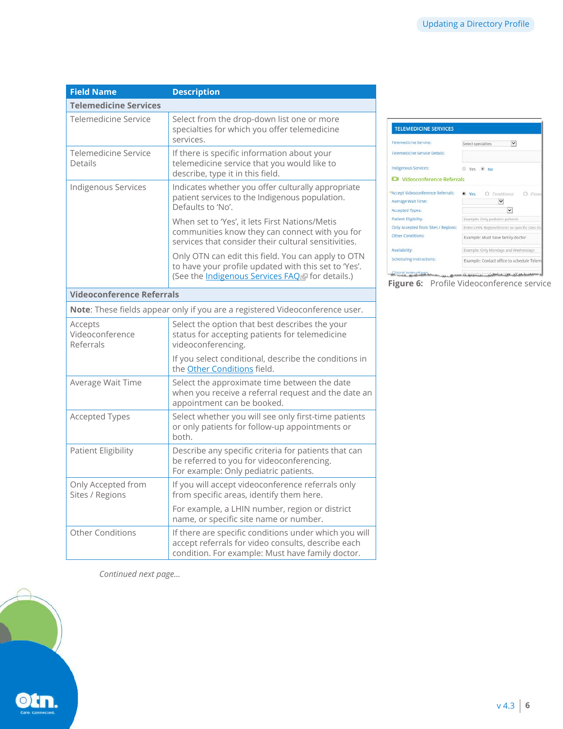| <b>Field Name</b>                       | <b>Description</b>                                                                                                                                              |
|-----------------------------------------|-----------------------------------------------------------------------------------------------------------------------------------------------------------------|
| <b>Telemedicine Services</b>            |                                                                                                                                                                 |
| Telemedicine Service                    | Select from the drop-down list one or more<br>specialties for which you offer telemedicine<br>services.                                                         |
| Telemedicine Service<br>Details         | If there is specific information about your<br>telemedicine service that you would like to<br>describe, type it in this field.                                  |
| Indigenous Services                     | Indicates whether you offer culturally appropriate<br>patient services to the Indigenous population.<br>Defaults to 'No'.                                       |
|                                         | When set to 'Yes', it lets First Nations/Metis<br>communities know they can connect with you for<br>services that consider their cultural sensitivities.        |
|                                         | Only OTN can edit this field. You can apply to OTN<br>to have your profile updated with this set to 'Yes'.<br>(See the Indigenous Services FAQ of for details.) |
| <b>Videoconference Referrals</b>        |                                                                                                                                                                 |
|                                         | Note: These fields appear only if you are a registered Videoconference user.                                                                                    |
| Accepts<br>Videoconference<br>Referrals | Select the option that best describes the your<br>status for accepting patients for telemedicine<br>videoconferencing.                                          |
|                                         | If you select conditional, describe the conditions in<br>the Other Conditions field.                                                                            |
| Average Wait Time                       | Select the approximate time between the date<br>when you receive a referral request and the date an<br>appointment can be booked.                               |
| <b>Accepted Types</b>                   | Select whether you will see only first-time patients<br>or only patients for follow-up appointments or<br>hoth.                                                 |
| <b>Patient Eligibility</b>              | Describe any specific criteria for patients that can<br>be referred to you for videoconferencing.<br>For example: Only pediatric patients.                      |
| Only Accepted from<br>Sites / Regions   | If you will accept videoconference referrals only<br>from specific areas, identify them here.                                                                   |
|                                         | For example, a LHIN number, region or district<br>name, or specific site name or number.                                                                        |
| <b>Other Conditions</b>                 | If there are specific conditions under which you will<br>accept referrals for video consults, describe each<br>condition. For example: Must have family doctor. |

TELEMEDICINE SERVICES Telemedicine Service: Select specialties  $\boxed{\vee}$ Telemedicine Service Details: Indigenous Services: ⊕ Yes ® No C# Videoconference Referrals \*Accept Videoconference Referrals: (8) Yes | O Conditional | O Clo Average Walt Time:  $\overline{\phantom{a}}$ Accepted Types: Patient Eligibility: Example: Only pediatric patients Only Accepted from Sites / Regions: Enter LHIN, Region/District or specific sites to Other Conditions: Example: Must have family doctor Availability: Example: Only Mondays and Wednesdays Scheduling Instructions: Example: Contact office to schedule Tele

**Figure 6:** Profile Videoconference service

<span id="page-5-0"></span>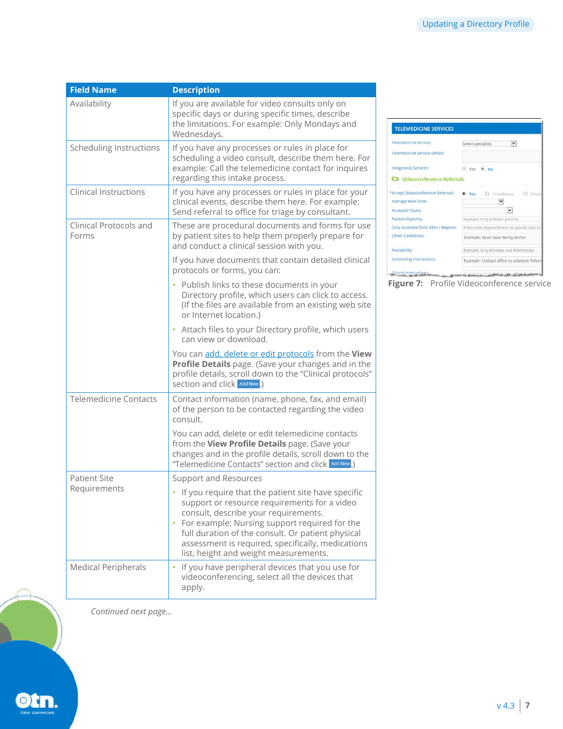| <b>Field Name</b>               | <b>Description</b>                                                                                                                                                                                                                                                                                                                                 |
|---------------------------------|----------------------------------------------------------------------------------------------------------------------------------------------------------------------------------------------------------------------------------------------------------------------------------------------------------------------------------------------------|
| Availability                    | If you are available for video consults only on<br>specific days or during specific times, describe<br>the limitations. For example: Only Mondays and<br>Wednesdays.                                                                                                                                                                               |
| Scheduling Instructions         | If you have any processes or rules in place for<br>scheduling a video consult, describe them here. For<br>example: Call the telemedicine contact for inquires<br>regarding this intake process.                                                                                                                                                    |
| <b>Clinical Instructions</b>    | If you have any processes or rules in place for your<br>clinical events, describe them here. For example:<br>Send referral to office for triage by consultant.                                                                                                                                                                                     |
| Clinical Protocols and<br>Forms | These are procedural documents and forms for use<br>by patient sites to help them properly prepare for<br>and conduct a clinical session with you.                                                                                                                                                                                                 |
|                                 | If you have documents that contain detailed clinical<br>protocols or forms, you can:                                                                                                                                                                                                                                                               |
|                                 | • Publish links to these documents in your<br>Directory profile, which users can click to access.<br>(If the files are available from an existing web site<br>or Internet location.)                                                                                                                                                               |
|                                 | • Attach files to your Directory profile, which users<br>can view or download.                                                                                                                                                                                                                                                                     |
|                                 | You can add, delete or edit protocols from the View<br>Profile Details page. (Save your changes and in the<br>profile details, scroll down to the "Clinical protocols"<br>section and click Add New.)                                                                                                                                              |
| <b>Telemedicine Contacts</b>    | Contact information (name, phone, fax, and email)<br>of the person to be contacted regarding the video<br>consult.                                                                                                                                                                                                                                 |
|                                 | You can add, delete or edit telemedicine contacts<br>from the View Profile Details page. (Save your<br>changes and in the profile details, scroll down to the<br>"Telemedicine Contacts" section and click Add New.)                                                                                                                               |
| <b>Patient Site</b>             | <b>Support and Resources</b>                                                                                                                                                                                                                                                                                                                       |
| Requirements                    | • If you require that the patient site have specific<br>support or resource requirements for a video<br>consult, describe your requirements.<br>• For example: Nursing support required for the<br>full duration of the consult. Or patient physical<br>assessment is required, specifically, medications<br>list, height and weight measurements. |
| <b>Medical Peripherals</b>      | If you have peripheral devices that you use for<br>videoconferencing, select all the devices that<br>apply.                                                                                                                                                                                                                                        |



Figure 7: Profile Videoconference service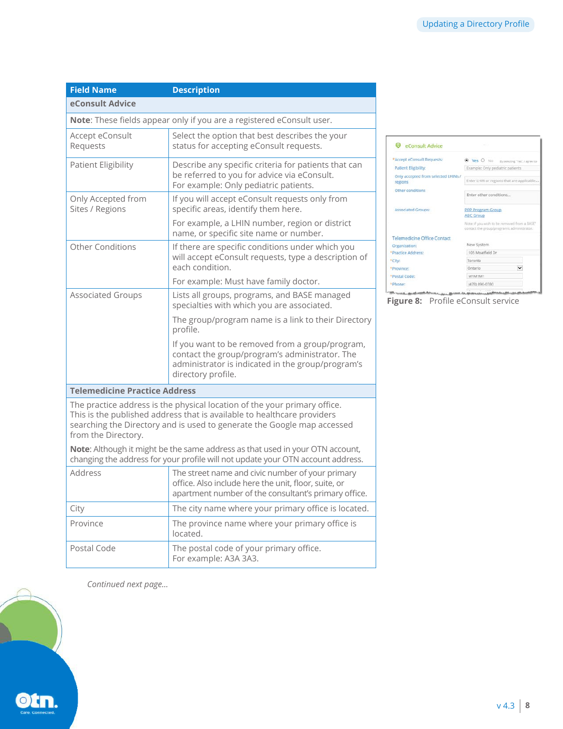| <b>Field Name</b>                     | <b>Description</b>                                                                                                                                                                                                              |
|---------------------------------------|---------------------------------------------------------------------------------------------------------------------------------------------------------------------------------------------------------------------------------|
| eConsult Advice                       |                                                                                                                                                                                                                                 |
|                                       | Note: These fields appear only if you are a registered eConsult user.                                                                                                                                                           |
| Accept eConsult<br>Requests           | Select the option that best describes the your<br>status for accepting eConsult requests.                                                                                                                                       |
| <b>Patient Eligibility</b>            | Describe any specific criteria for patients that can<br>be referred to you for advice via eConsult.<br>For example: Only pediatric patients.                                                                                    |
| Only Accepted from<br>Sites / Regions | If you will accept eConsult requests only from<br>specific areas, identify them here.                                                                                                                                           |
|                                       | For example, a LHIN number, region or district<br>name, or specific site name or number.                                                                                                                                        |
| Other Conditions                      | If there are specific conditions under which you<br>will accept eConsult requests, type a description of<br>each condition.                                                                                                     |
|                                       | For example: Must have family doctor.                                                                                                                                                                                           |
| <b>Associated Groups</b>              | Lists all groups, programs, and BASE managed<br>specialties with which you are associated.                                                                                                                                      |
|                                       | The group/program name is a link to their Directory<br>profile.                                                                                                                                                                 |
|                                       | If you want to be removed from a group/program,<br>contact the group/program's administrator. The<br>administrator is indicated in the group/program's<br>directory profile.                                                    |
| <b>Telemedicine Practice Address</b>  |                                                                                                                                                                                                                                 |
| from the Directory.                   | The practice address is the physical location of the your primary office.<br>This is the published address that is available to healthcare providers<br>searching the Directory and is used to generate the Google map accessed |
|                                       | Note: Although it might be the same address as that used in your OTN account,<br>changing the address for your profile will not update your OTN account address.                                                                |
| Address                               | The street name and civic number of your primary<br>office. Also include here the unit, floor, suite, or<br>apartment number of the consultant's primary office.                                                                |
| City                                  | The city name where your primary office is located.                                                                                                                                                                             |
| Province                              | The province name where your primary office is<br>located.                                                                                                                                                                      |
| Postal Code                           | The postal code of your primary office.<br>For example: A3A 3A3.                                                                                                                                                                |

eConsult Advice \*Accept eConsult Requests:  $\begin{tabular}{ll} \textbf{\textcolor{red}{\bullet}} & \textbf{Yes} & \textbf{O} & \textbf{No} & \textbf{By we  
comp- $\textbf{For} \textbf{or} \textbf{In} \textbf{or} \textbf{or} \textbf{or} \textbf{or} \textbf{or} \textbf{or} \textbf{or} \textbf{or} \textbf{or} \textbf{or} \textbf{or} \textbf{or} \textbf{or} \textbf{or} \textbf{or} \textbf{or} \textbf{or} \textbf{or} \textbf{or} \textbf{or} \textbf{or} \textbf{or} \textbf{or} \textbf{or} \$$ Patient Eligibility: Only accepted from selected LHINs /<br>regions Enter LHIN or regions that are applicable Other conditions Enter other conditions... PPP Program Group<br>ABC Group **Associated Groups:** .<br>Note: if you wish to be removed from a BASE\*<br>contact the group/program's administrator. Telemedicine Office Contact New System Organization: 105 Moatfield Dr \*Practice Address: \*City: Toronto Ontario  $\vert \mathbf{v} \vert$ \*Province: M1M1M1 \*Postal Code: (478) 890-0780 \*Phone:

.<br>Microsoft and state history *<u><u>Institute of</u>*</u> **Figure 8:** Profile eConsult service

**BANKAN ARMANA**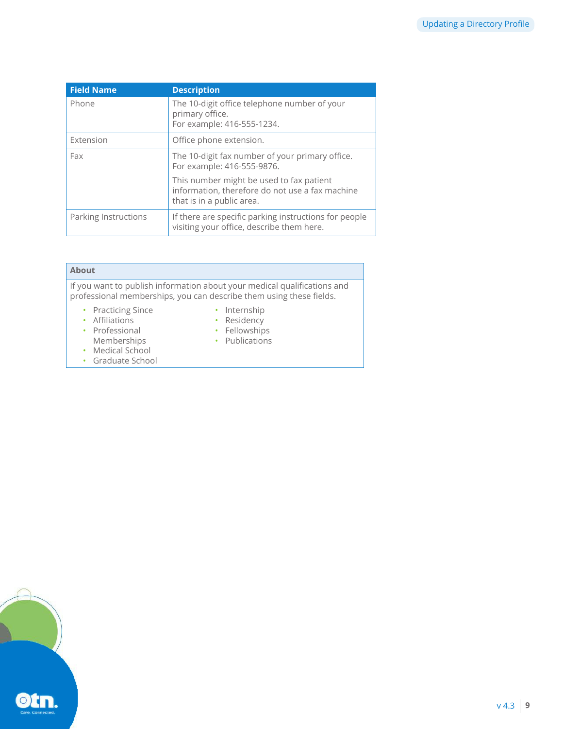| <b>Field Name</b>    | <b>Description</b>                                                                                                       |
|----------------------|--------------------------------------------------------------------------------------------------------------------------|
| Phone                | The 10-digit office telephone number of your<br>primary office.<br>For example: 416-555-1234.                            |
| Extension            | Office phone extension.                                                                                                  |
| Fax                  | The 10-digit fax number of your primary office.<br>For example: 416-555-9876.                                            |
|                      | This number might be used to fax patient<br>information, therefore do not use a fax machine<br>that is in a public area. |
| Parking Instructions | If there are specific parking instructions for people<br>visiting your office, describe them here.                       |

| <b>About</b>                                                                                                   |                                                                                                                                                 |
|----------------------------------------------------------------------------------------------------------------|-------------------------------------------------------------------------------------------------------------------------------------------------|
|                                                                                                                | If you want to publish information about your medical qualifications and<br>professional memberships, you can describe them using these fields. |
| • Practicing Since<br>• Affiliations<br>• Professional<br>Memberships<br>• Medical School<br>• Graduate School | • Internship<br>• Residency<br>• Fellowships<br>• Publications                                                                                  |

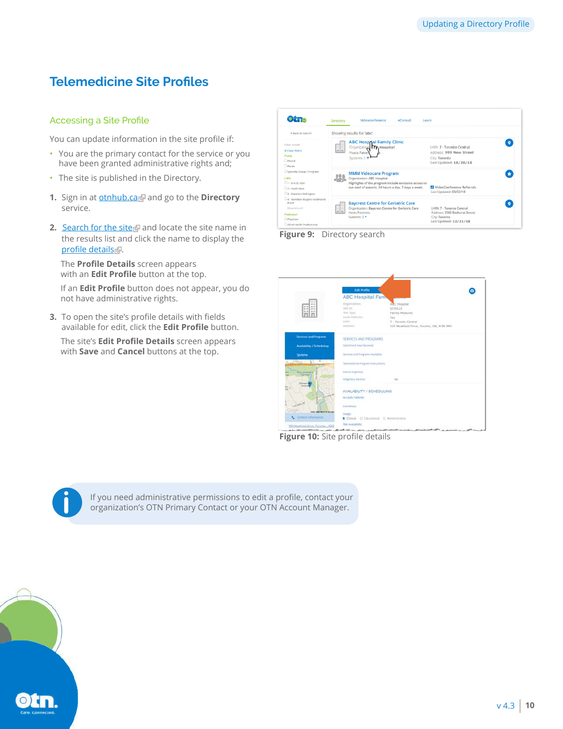# <span id="page-9-0"></span>**Telemedicine Site Profiles**

### Accessing a Site Profile

You can update information in the site profile if:

- You are the primary contact for the service or you have been granted administrative rights and;
- The site is published in the Directory.
- 1. Sign in at **[otnhub.ca](http://otnhub.ca)** and go to the **Directory** service.
- **2.** [Search for the site](http://dropbox.otn.ca/directory-help/otn-dir-search.pdf) and locate the site name in the results list and click the name to display the [profile details](http://dropbox.otn.ca/directory-help/otn-dir-profile-details.pdf#page=2) ...

The **Profile Details** screen appears with an **Edit Profile** button at the top.

If an **Edit Profile** button does not appear, you do not have administrative rights.

**3.** To open the site's profile details with fields available for edit, click the **Edit Profile** button.

The site's **Edit Profile Details** screen appears with **Save** and **Cancel** buttons at the top.

| $\circ$ $\circ$                                                                                                                | Directory  | Videoconference<br>eConsult<br>Learn                                                                                                                                       |                                                                                                              |  |
|--------------------------------------------------------------------------------------------------------------------------------|------------|----------------------------------------------------------------------------------------------------------------------------------------------------------------------------|--------------------------------------------------------------------------------------------------------------|--|
| Back to Search                                                                                                                 |            | Showing results for 'abc'.                                                                                                                                                 |                                                                                                              |  |
| Filter results<br>X Clear filters<br>Profile<br>People<br><b>O</b> places                                                      | f          | <b>ABC Hospital Family Clinic</b><br>Organization TTF Hospital<br>Hosts Patien<br>Systems: 1                                                                               | LHIN: 7 - Toronto Central<br>Address: 999 New Street<br>City: Toronto<br>Last Updated: 10/28/18              |  |
| Specialty Group / Program<br>LHIN<br>1 - Frie St. Clair<br>2 - South West<br>3 - Waterloo Wellington                           |            | <b>MMM Videocare Program</b><br>Organization: ABC Hospital<br>Highlights of the program include exclusive access to<br>our pool of experts, 24 hours a day, 7 days a week. | VideoConference Referrals<br>Last Updated: 03/22/18                                                          |  |
| 34 - Hamilton Niagara Haldimand<br><b>Rrant</b><br>Show More<br>Profession<br><b>O</b> Physician<br>Allied Health Professional | 邮<br>Inini | <b>Baycrest Centre for Geriatric Care</b><br>Organization: Baycrest Centre for Geriatric Care<br><b>Hosts Patients:</b><br>Systems: 3 *                                    | LHIN: 7 - Toronto Central<br>Address: 3560 Bathurst Street<br><b>City: Toronto</b><br>Last Updated: 12/31/18 |  |





**Figure 10:** Site profile details



If you need administrative permissions to edit a profile, contact your **i** organization's OTN Primary Contact or your OTN Account Manager.

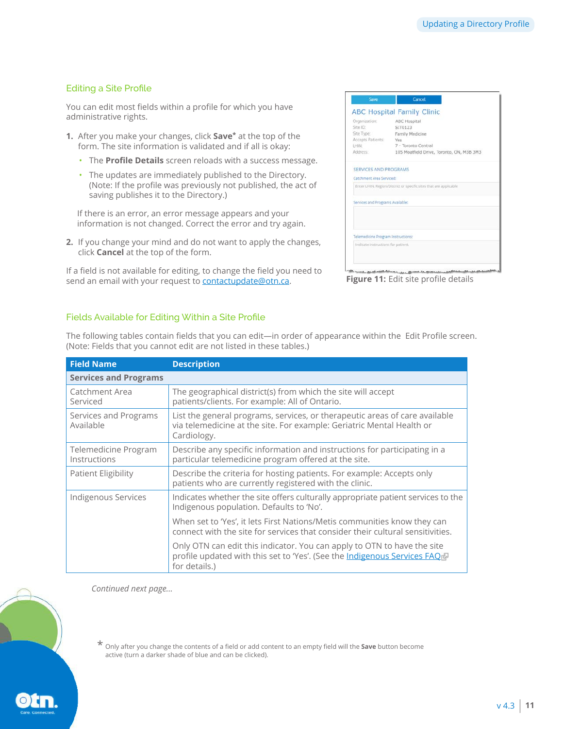# <span id="page-10-0"></span>Editing a Site Profile

You can edit most fields within a profile for which you have administrative rights.

- **1.** After you make your changes, click **Save\*** at the top of the form. The site information is validated and if all is okay:
	- The **Profile Details** screen reloads with a success message.
	- The updates are immediately published to the Directory. (Note: If the profile was previously not published, the act of saving publishes it to the Directory.)

If there is an error, an error message appears and your information is not changed. Correct the error and try again.

**2.** If you change your mind and do not want to apply the changes, click **Cancel** at the top of the form.

If a field is not available for editing, to change the field you need to send an email with your request to **[contactupdate@otn.ca.](mailto:contactupdate%40otn.ca?subject=) Figure 11:** Edit site profile details

| Organization:                      | ABC Hospital                                                      |
|------------------------------------|-------------------------------------------------------------------|
| Site ID:                           | SIT0123                                                           |
| Site Type:                         | Family Medicine                                                   |
| Accepts Patients:                  | Yes                                                               |
| LHIN:                              | 7 - Toronto Central                                               |
| Address:                           | 105 Moatfield Drive, Toronto, ON, M3B 3M3                         |
|                                    | Enter LHIN. Region/District or specific sites that are applicable |
| Services and Programs Available:   |                                                                   |
|                                    |                                                                   |
|                                    |                                                                   |
| Telemedicine Program Instructions: |                                                                   |
|                                    | Indicate instructions for patient.                                |

#### Fields Available for Editing Within a Site Profile

The following tables contain fields that you can edit—in order of appearance within the Edit Profile screen. (Note: Fields that you cannot edit are not listed in these tables.)

| <b>Field Name</b>                    | <b>Description</b>                                                                                                                                                   |
|--------------------------------------|----------------------------------------------------------------------------------------------------------------------------------------------------------------------|
| <b>Services and Programs</b>         |                                                                                                                                                                      |
| Catchment Area<br>Serviced           | The geographical district(s) from which the site will accept<br>patients/clients. For example: All of Ontario.                                                       |
| Services and Programs<br>Available   | List the general programs, services, or therapeutic areas of care available<br>via telemedicine at the site. For example: Geriatric Mental Health or<br>Cardiology.  |
| Telemedicine Program<br>Instructions | Describe any specific information and instructions for participating in a<br>particular telemedicine program offered at the site.                                    |
| <b>Patient Eligibility</b>           | Describe the criteria for hosting patients. For example: Accepts only<br>patients who are currently registered with the clinic.                                      |
| Indigenous Services                  | Indicates whether the site offers culturally appropriate patient services to the<br>Indigenous population. Defaults to 'No'.                                         |
|                                      | When set to 'Yes', it lets First Nations/Metis communities know they can<br>connect with the site for services that consider their cultural sensitivities.           |
|                                      | Only OTN can edit this indicator. You can apply to OTN to have the site<br>profile updated with this set to 'Yes'. (See the Indigenous Services FAQ<br>for details.) |

*Continued next page...*

\* Only after you change the contents of a field or add content to an empty field will the **Save** button become active (turn a darker shade of blue and can be clicked).

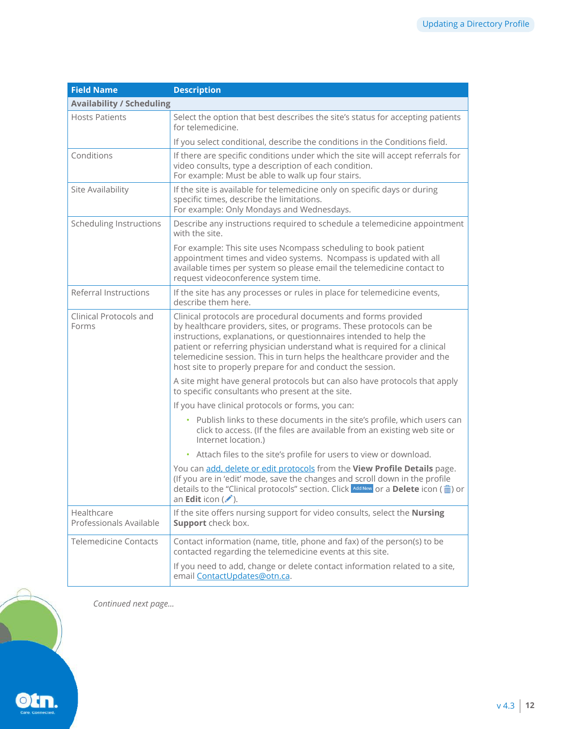| <b>Field Name</b>                     | <b>Description</b>                                                                                                                                                                                                                                                                                                                                                                                                                 |
|---------------------------------------|------------------------------------------------------------------------------------------------------------------------------------------------------------------------------------------------------------------------------------------------------------------------------------------------------------------------------------------------------------------------------------------------------------------------------------|
| <b>Availability / Scheduling</b>      |                                                                                                                                                                                                                                                                                                                                                                                                                                    |
| <b>Hosts Patients</b>                 | Select the option that best describes the site's status for accepting patients<br>for telemedicine.                                                                                                                                                                                                                                                                                                                                |
|                                       | If you select conditional, describe the conditions in the Conditions field.                                                                                                                                                                                                                                                                                                                                                        |
| Conditions                            | If there are specific conditions under which the site will accept referrals for<br>video consults, type a description of each condition.<br>For example: Must be able to walk up four stairs.                                                                                                                                                                                                                                      |
| Site Availability                     | If the site is available for telemedicine only on specific days or during<br>specific times, describe the limitations.<br>For example: Only Mondays and Wednesdays.                                                                                                                                                                                                                                                                |
| <b>Scheduling Instructions</b>        | Describe any instructions required to schedule a telemedicine appointment<br>with the site.                                                                                                                                                                                                                                                                                                                                        |
|                                       | For example: This site uses Ncompass scheduling to book patient<br>appointment times and video systems. Ncompass is updated with all<br>available times per system so please email the telemedicine contact to<br>request videoconference system time.                                                                                                                                                                             |
| Referral Instructions                 | If the site has any processes or rules in place for telemedicine events,<br>describe them here.                                                                                                                                                                                                                                                                                                                                    |
| Clinical Protocols and<br>Forms       | Clinical protocols are procedural documents and forms provided<br>by healthcare providers, sites, or programs. These protocols can be<br>instructions, explanations, or questionnaires intended to help the<br>patient or referring physician understand what is required for a clinical<br>telemedicine session. This in turn helps the healthcare provider and the<br>host site to properly prepare for and conduct the session. |
|                                       | A site might have general protocols but can also have protocols that apply<br>to specific consultants who present at the site.                                                                                                                                                                                                                                                                                                     |
|                                       | If you have clinical protocols or forms, you can:                                                                                                                                                                                                                                                                                                                                                                                  |
|                                       | • Publish links to these documents in the site's profile, which users can<br>click to access. (If the files are available from an existing web site or<br>Internet location.)                                                                                                                                                                                                                                                      |
|                                       | • Attach files to the site's profile for users to view or download.                                                                                                                                                                                                                                                                                                                                                                |
|                                       | You can add, delete or edit protocols from the View Profile Details page.<br>(If you are in 'edit' mode, save the changes and scroll down in the profile<br>details to the "Clinical protocols" section. Click $\frac{1}{x}$ and New or a <b>Delete</b> icon $\left(\frac{m}{x}\right)$ or<br>an Edit icon (A).                                                                                                                    |
| Healthcare<br>Professionals Available | If the site offers nursing support for video consults, select the Nursing<br>Support check box.                                                                                                                                                                                                                                                                                                                                    |
| <b>Telemedicine Contacts</b>          | Contact information (name, title, phone and fax) of the person(s) to be<br>contacted regarding the telemedicine events at this site.                                                                                                                                                                                                                                                                                               |
|                                       | If you need to add, change or delete contact information related to a site,<br>email ContactUpdates@otn.ca.                                                                                                                                                                                                                                                                                                                        |

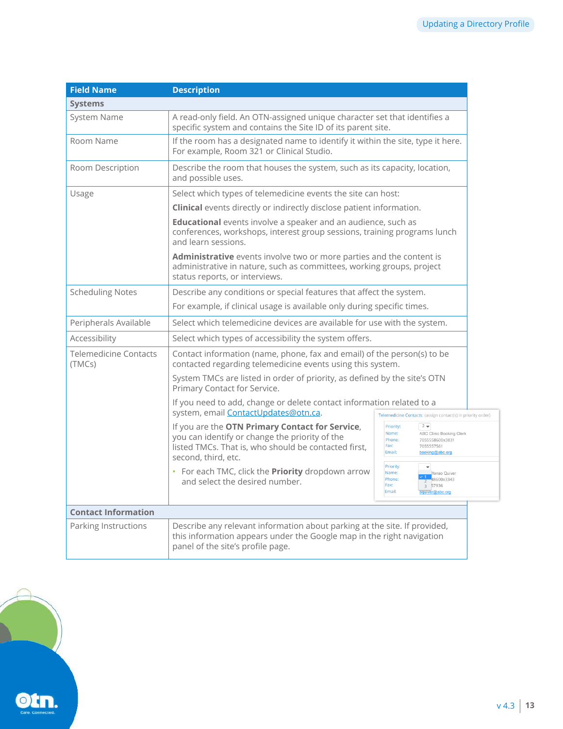| <b>Field Name</b>                      | <b>Description</b>                                                                                                                                                                      |                                                                                                                                                |                                                                                                     |
|----------------------------------------|-----------------------------------------------------------------------------------------------------------------------------------------------------------------------------------------|------------------------------------------------------------------------------------------------------------------------------------------------|-----------------------------------------------------------------------------------------------------|
| <b>Systems</b>                         |                                                                                                                                                                                         |                                                                                                                                                |                                                                                                     |
| <b>System Name</b>                     | A read-only field. An OTN-assigned unique character set that identifies a<br>specific system and contains the Site ID of its parent site.                                               |                                                                                                                                                |                                                                                                     |
| Room Name                              | If the room has a designated name to identify it within the site, type it here.<br>For example, Room 321 or Clinical Studio.                                                            |                                                                                                                                                |                                                                                                     |
| Room Description                       | Describe the room that houses the system, such as its capacity, location,<br>and possible uses.                                                                                         |                                                                                                                                                |                                                                                                     |
| Usage                                  | Select which types of telemedicine events the site can host:                                                                                                                            |                                                                                                                                                |                                                                                                     |
|                                        | Clinical events directly or indirectly disclose patient information.                                                                                                                    |                                                                                                                                                |                                                                                                     |
|                                        | Educational events involve a speaker and an audience, such as<br>conferences, workshops, interest group sessions, training programs lunch<br>and learn sessions.                        |                                                                                                                                                |                                                                                                     |
|                                        | <b>Administrative</b> events involve two or more parties and the content is<br>administrative in nature, such as committees, working groups, project<br>status reports, or interviews.  |                                                                                                                                                |                                                                                                     |
| <b>Scheduling Notes</b>                |                                                                                                                                                                                         | Describe any conditions or special features that affect the system.<br>For example, if clinical usage is available only during specific times. |                                                                                                     |
|                                        |                                                                                                                                                                                         |                                                                                                                                                |                                                                                                     |
| Peripherals Available                  | Select which telemedicine devices are available for use with the system.                                                                                                                |                                                                                                                                                |                                                                                                     |
| Accessibility                          | Select which types of accessibility the system offers.                                                                                                                                  |                                                                                                                                                |                                                                                                     |
| <b>Telemedicine Contacts</b><br>(TMCs) | Contact information (name, phone, fax and email) of the person(s) to be<br>contacted regarding telemedicine events using this system.                                                   |                                                                                                                                                |                                                                                                     |
|                                        | Primary Contact for Service.                                                                                                                                                            | System TMCs are listed in order of priority, as defined by the site's OTN                                                                      |                                                                                                     |
|                                        | If you need to add, change or delete contact information related to a                                                                                                                   |                                                                                                                                                |                                                                                                     |
|                                        | system, email <b>ContactUpdates@otn.ca.</b>                                                                                                                                             |                                                                                                                                                | Telemedicine Contacts: (assign contact(s) in priority order)                                        |
|                                        | If you are the OTN Primary Contact for Service,<br>you can identify or change the priority of the<br>listed TMCs. That is, who should be contacted first,<br>second, third, etc.        | Priority:<br>Name:<br>Phone:<br>Fax:<br>Email:                                                                                                 | $2 -$<br>ABC Clinic Booking Clerk<br>7055558600x3831<br>7055557561<br>booking@abc.org               |
|                                        | • For each TMC, click the Priority dropdown arrow<br>and select the desired number.                                                                                                     | Priority:<br>Name:<br>Phone:<br>Fax:<br>Email:                                                                                                 | $\overline{\phantom{a}}$<br>Ifonso Quiver<br>$\frac{1}{2}$ 48600x3343<br>3 57936<br>aquiver@abc.org |
| <b>Contact Information</b>             |                                                                                                                                                                                         |                                                                                                                                                |                                                                                                     |
| Parking Instructions                   | Describe any relevant information about parking at the site. If provided,<br>this information appears under the Google map in the right navigation<br>panel of the site's profile page. |                                                                                                                                                |                                                                                                     |

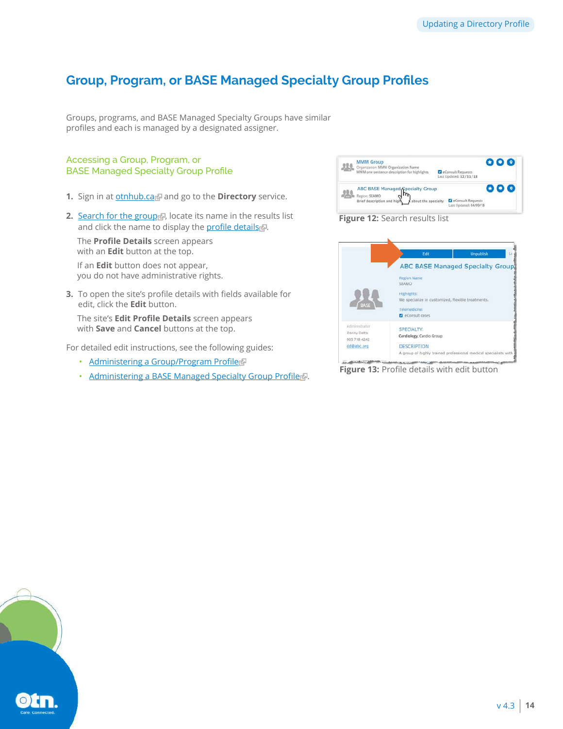# <span id="page-13-0"></span>**Group, Program, or BASE Managed Specialty Group Profiles**

Groups, programs, and BASE Managed Specialty Groups have similar profiles and each is managed by a designated assigner.

### Accessing a Group, Program, or BASE Managed Specialty Group Profile

- **1.** Sign in at **[otnhub.ca](http://otnhub.ca)** and go to the **Directory** service.
- **2.** [Search for the group](http://dropbox.otn.ca/directory-help/otn-dir-search.pdf) , locate its name in the results list and click the name to display the [profile details](http://dropbox.otn.ca/directory-help/otn-dir-profile-details.pdf#page=2).

The **Profile Details** screen appears with an **Edit** button at the top.

If an **Edit** button does not appear, you do not have administrative rights.

**3.** To open the site's profile details with fields available for edit, click the **Edit** button.

The site's **Edit Profile Details** screen appears with **Save** and **Cancel** buttons at the top.

For detailed edit instructions, see the following guides:

- [Administering a Group/Program Profile](https://dropbox.otn.ca/directory-help/otn-dir-group-admin.pdf)
- [Administering a BASE Managed Specialty Group Profile](https://dropbox.otn.ca/econsult-help/otn-dir-group-base-admin.pdf)





**Figure 13:** Profile details with edit button

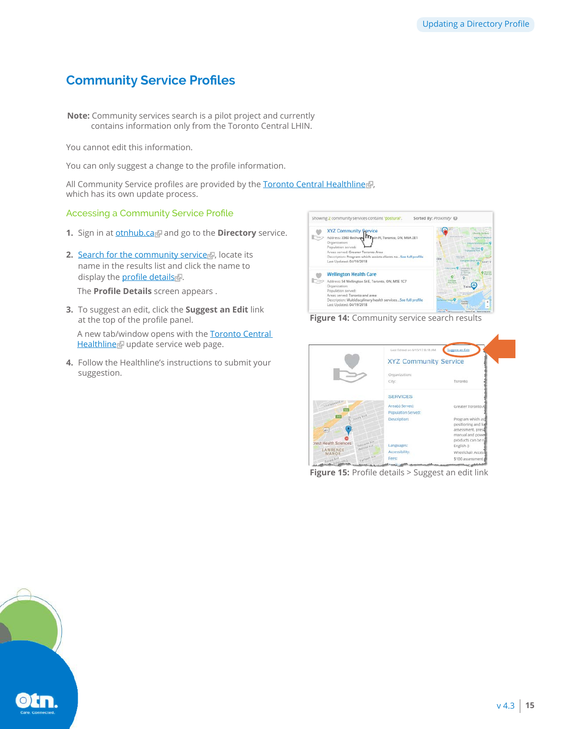# <span id="page-14-0"></span>**Community Service Profiles**

**Note:** Community services search is a pilot project and currently contains information only from the Toronto Central LHIN.

You cannot edit this information.

You can only suggest a change to the profile information.

All Community Service profiles are provided by the [Toronto Central Healthline](http://www.torontocentralhealthline.ca/submitServiceList.aspx) , which has its own update process.

#### Accessing a Community Service Profile

- **1.** Sign in at **[otnhub.ca](http://otnhub.ca)** and go to the **Directory** service.
- **2.** [Search for the community service](http://dropbox.otn.ca/directory-help/otn-dir-search.pdf) . locate its name in the results list and click the name to display the **[profile details](http://dropbox.otn.ca/directory-help/otn-dir-profile-details.pdf#page=2)** .

The **Profile Details** screen appears .

**3.** To suggest an edit, click the **Suggest an Edit** link at the top of the profile panel.

A new tab/window opens with the **Toronto Central** [Healthline](http://www.torontocentralhealthline.ca/submitServiceList.aspx) update service web page.

**4.** Follow the Healthline's instructions to submit your suggestion.





|                            |                               | List Edited on 6/15/17 0:18 AM | Support an Edit                                                                                         |
|----------------------------|-------------------------------|--------------------------------|---------------------------------------------------------------------------------------------------------|
|                            |                               | <b>XYZ Community Service</b>   |                                                                                                         |
|                            |                               | Organization:                  |                                                                                                         |
|                            |                               | City:                          | Toronto                                                                                                 |
|                            |                               | <b>SERVICES</b>                |                                                                                                         |
| <b>Charles Model</b>       |                               | Area(s) Served:                | Greater Toronto                                                                                         |
|                            |                               | Population Served:             |                                                                                                         |
| 385<br>(401)               | <b>Colors Wind</b>            | Description:                   | Program which as<br>positioning and full<br>assessment, presi<br>manual and power<br>products can be re |
| crest Health Sciences      | Delo(amp Ave.<br>Malrons Ave. | Languages:                     | English ()                                                                                              |
| LAWRENCE<br>MANOR          |                               | Accessibility:                 | Wheelchair Access                                                                                       |
| <b>BACKS AVE</b><br>$-180$ | Earlann Mo.                   | Fees:                          | \$100 assessment                                                                                        |

**Figure 15:** Profile details > Suggest an edit link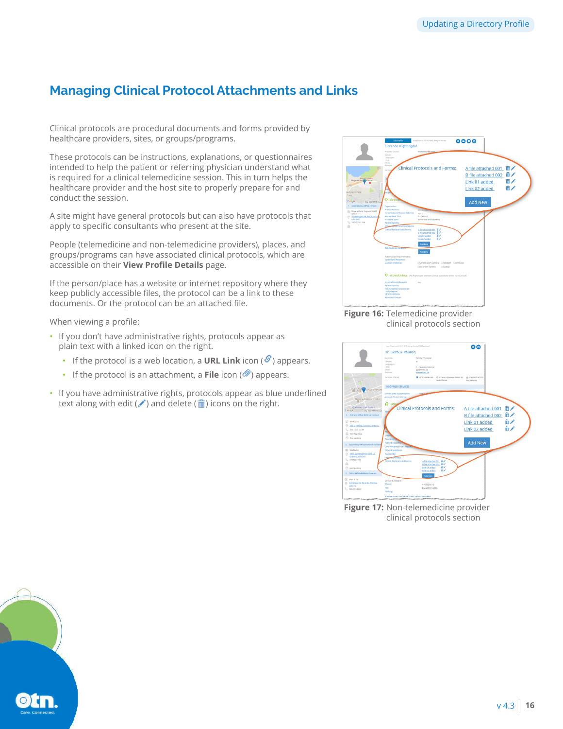# <span id="page-15-1"></span><span id="page-15-0"></span>**Managing Clinical Protocol Attachments and Links**

Clinical protocols are procedural documents and forms provided by healthcare providers, sites, or groups/programs.

These protocols can be instructions, explanations, or questionnaires intended to help the patient or referring physician understand what is required for a clinical telemedicine session. This in turn helps the healthcare provider and the host site to properly prepare for and conduct the session.

A site might have general protocols but can also have protocols that apply to specific consultants who present at the site.

People (telemedicine and non-telemedicine providers), places, and groups/programs can have associated clinical protocols, which are accessible on their **View Profile Details** page.

If the person/place has a website or internet repository where they keep publicly accessible files, the protocol can be a link to these documents. Or the protocol can be an attached file.

When viewing a profile:

- If you don't have administrative rights, protocols appear as plain text with a linked icon on the right.
	- If the protocol is a web location, a **URL Link** icon  $(\mathscr{S})$  appears.
	- If the protocol is an attachment, a **File** icon  $(\emptyset)$  appears.
- If you have administrative rights, protocols appear as blue underlined text along with edit ( $\triangle$ ) and delete ( $\widehat{m}$ ) icons on the right.



**Figure 16:** Telemedicine provider clinical protocols section



**Figure 17:** Non-telemedicine provider clinical protocols section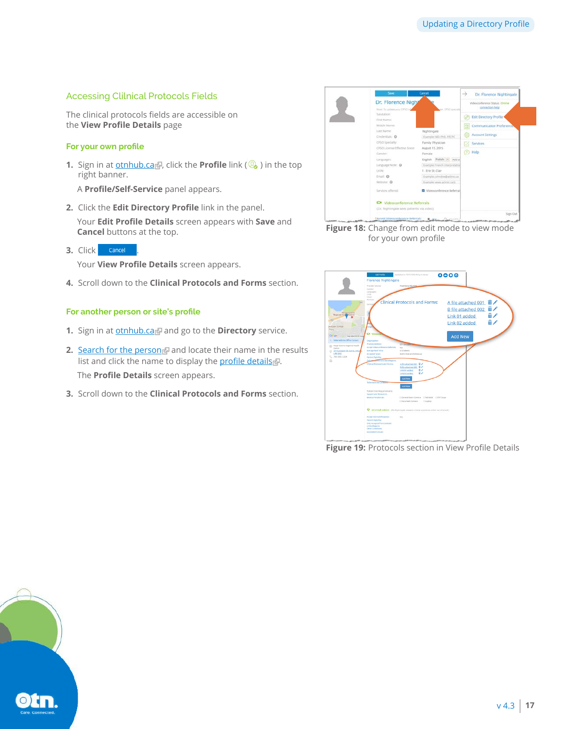### <span id="page-16-1"></span><span id="page-16-0"></span>Accessing Clilnical Protocols Fields

The clinical protocols fields are accessible on the **View Profile Details** page

#### **For your own profile**

**1.** Sign in at **[otnhub.ca](http://otnhub.ca)**, click the **Profile** link (**Q**) in the top right banner.

A **Profile/Self-Service** panel appears.

**2.** Click the **Edit Directory Profile** link in the panel.

Your **Edit Profile Details** screen appears with **Save** and **Cancel** buttons at the top.

**3.** Click **cancel** 

Your **View Profile Details** screen appears.

**4.** Scroll down to the **Clinical Protocols and Forms** section.

#### **For another person or site's profile**

- **1.** Sign in at **[otnhub.ca](http://otnhub.ca)** and go to the **Directory** service.
- **2.** [Search for the person](http://dropbox.otn.ca/directory-help/otn-dir-search.pdf) and locate their name in the results list and click the name to display the [profile details](http://dropbox.otn.ca/directory-help/otn-dir-profile-details.pdf)  $\mathbb{R}$ . The **Profile Details** screen appears.
- **3.** Scroll down to the **Clinical Protocols and Forms** section.



**Figure 18:** Change from edit mode to view mode for your own profile



**Figure 19:** Protocols section in View Profile Details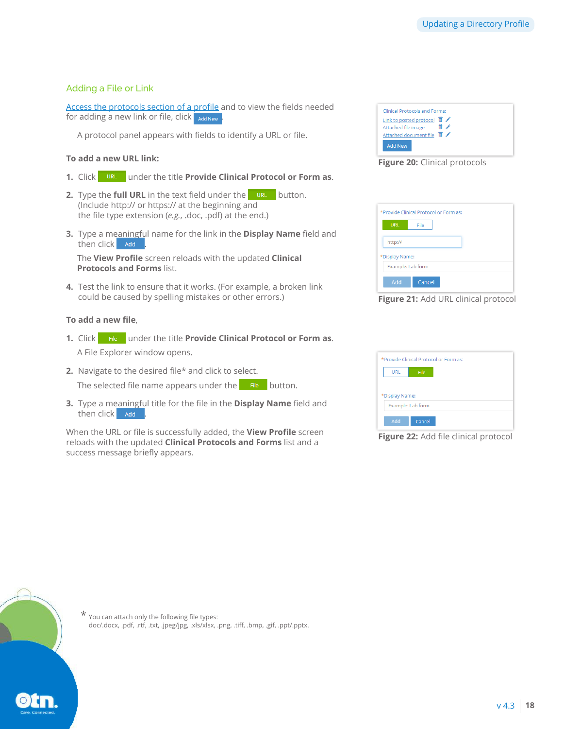### <span id="page-17-0"></span>Adding a File or Link

[Access the protocols section of a profile](#page-16-1) and to view the fields needed for adding a new link or file, click add New

A protocol panel appears with fields to identify a URL or file.

#### **To add a new URL link:**

- 1. Click under the title **Provide Clinical Protocol or Form as**.
- **2.** Type the **full URL** in the text field under the URL button. (Include http:// or https:// at the beginning and the file type extension (*e.g.*, .doc, .pdf) at the end.)
- **3.** Type a meaningful name for the link in the **Display Name** field and then click ... Add

The **View Profile** screen reloads with the updated **Clinical Protocols and Forms** list.

**4.** Test the link to ensure that it works. (For example, a broken link could be caused by spelling mistakes or other errors.)

#### **To add a new file**,

- 1. Click File under the title **Provide Clinical Protocol or Form as**. A File Explorer window opens.
- **2.** Navigate to the desired file\* and click to select. The selected file name appears under the  $\Box$  File button.
- **3.** Type a meaningful title for the file in the **Display Name** field and then click . Add

When the URL or file is successfully added, the **View Profile** screen reloads with the updated **Clinical Protocols and Forms** list and a success message briefly appears.

| Link to posted protocol <b>iii</b> |     |  |
|------------------------------------|-----|--|
| Attached file image                |     |  |
| Attached document file             | 侖 〆 |  |

**Figure 20:** Clinical protocols

|                   | *Provide Clinical Protocol or Form as: |
|-------------------|----------------------------------------|
| <b>URL</b>        | File                                   |
| http://           |                                        |
| *Display Name:    |                                        |
| Example: Lab form |                                        |
| Add               | Cancel                                 |

#### **Figure 21:** Add URL clinical protocol

|                |                   | *Provide Clinical Protocol or Form as: |  |
|----------------|-------------------|----------------------------------------|--|
| <b>URL</b>     | File              |                                        |  |
|                |                   |                                        |  |
| *Display Name: |                   |                                        |  |
|                | Example: Lab form |                                        |  |
|                |                   |                                        |  |
| Add            | Cancel            |                                        |  |

**Figure 22:** Add file clinical protocol



 $\star$  You can attach only the following file types: doc/.docx, .pdf, .rtf, .txt, .jpeg/jpg, .xls/xlsx, .png, .tiff, .bmp, .gif, .ppt/.pptx.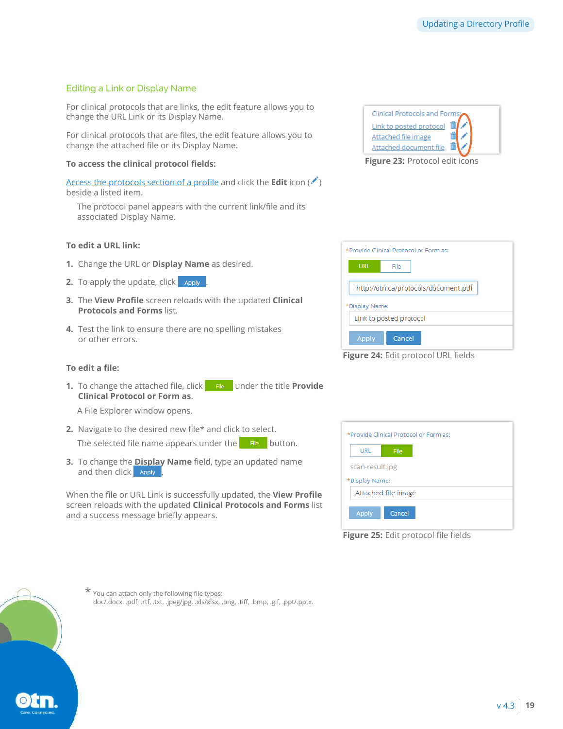## <span id="page-18-0"></span>Editing a Link or Display Name

For clinical protocols that are links, the edit feature allows you to change the URL Link or its Display Name.

For clinical protocols that are files, the edit feature allows you to change the attached file or its Display Name.

#### **To access the clinical protocol fields:**

[Access the protocols section of a profile](#page-16-1) and click the **Edit** icon ( $\ell$ ) beside a listed item.

The protocol panel appears with the current link/file and its associated Display Name.

#### **To edit a URL link:**

- **1.** Change the URL or **Display Name** as desired.
- **2.** To apply the update, click apply
- **3.** The **View Profile** screen reloads with the updated **Clinical Protocols and Forms** list.
- **4.** Test the link to ensure there are no spelling mistakes or other errors.

# **To edit a file:**

**1.** To change the attached file, click File under the title **Provide Clinical Protocol or Form as**.

A File Explorer window opens.

**2.** Navigate to the desired new file\* and click to select.

The selected file name appears under the  $\blacksquare$  File button.

**3.** To change the **Display Name** field, type an updated name and then click Apply

When the file or URL Link is successfully updated, the **View Profile** screen reloads with the updated **Clinical Protocols and Forms** list and a success message briefly appears.

| Clinical Protocols and Forms: |  |
|-------------------------------|--|
| Link to posted protocol       |  |
| Attached file image           |  |
| Attached document file        |  |

**Figure 23:** Protocol edit icons

| *Provide Clinical Protocol or Form as:                 |
|--------------------------------------------------------|
| <b>URL</b><br>File                                     |
| http://otn.ca/protocols/document.pdf<br>*Display Name: |
| Link to posted protocol                                |
| <b>Apply</b><br>Cancel                                 |

**Figure 24:** Edit protocol URL fields

|                 | *Provide Clinical Protocol or Form as: |  |
|-----------------|----------------------------------------|--|
| URL             | File                                   |  |
| scan-result.jpg |                                        |  |
| *Display Name:  |                                        |  |
|                 |                                        |  |
|                 | Attached file image                    |  |
|                 |                                        |  |
|                 |                                        |  |

**Figure 25:** Edit protocol file fields



 $\star$  You can attach only the following file types: doc/.docx, .pdf, .rtf, .txt, .jpeg/jpg, .xls/xlsx, .png, .tiff, .bmp, .gif, .ppt/.pptx.